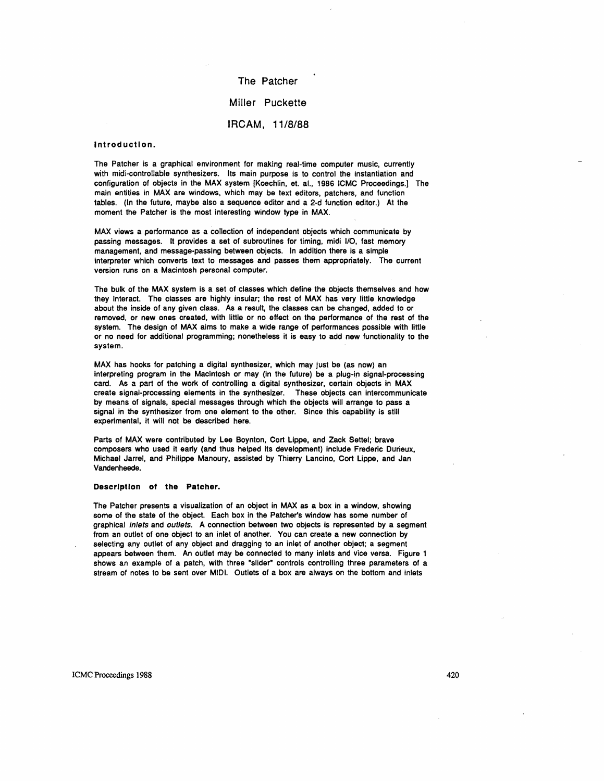The Patcher Miller Puckette IRCAM, 11/8/88

# Introduction.

The Patcher is a graphical environment for making real-time computer music, currently with midi-controllable synthesizers. Its main purpose is to control the instantiation and configuration of objects in the MAX system [Koechlin, et. aI., 1986 ICMC Proceedings.) The main entities in MAX are windows, which may be text editors, patchers, and function tables. (In the future, maybe also a sequence editor and a 2-d function editor.) At the moment the Patcher is the most interesting window type in MAX.

MAX views a performance as a collection of independent objects which communicate by passing messages. It provides a set of subroutines for timing, midi 110, fast memory management, and message-passing between objects. In addition there is a simple interpreter which converts text to messages and passes them appropriately. The current version runs on a Macintosh personal computer.

The bulk of the MAX system is a set of classes which define the objects themselves and how they interact. The classes are highly insular; the rest of MAX has very little knowledge about the inside of any given class. As a result, the classes can be changed, added to or removed, or new ones created, with little or no effect on the performance of the rest of the system. The design of MAX aims to make a wide range of performances possible with little or no need for additional programming; nonetheless it is easy to add new functionality to the system.

MAX has hooks for patching a digital synthesizer, which may just be (as now) an interpreting program in the Macintosh or may (in the future) be a plug-in signal-processing card. As a part of the work of controlling a digital synthesizer, certain objects in MAX create signal-processing elements in the synthesizer. These objects can intercommunicate by means of signals, special messages through which the objects will arrange to pass a signal in the synthesizer from one element to the other. Since this capability is still experimental, it will not be described here.

Parts of MAX were contributed by Lee Boynton, Cort Lippe, and Zack Settel; brave composers who used it early (and thus helped its development) include Frederic Durieux, Michael Jarrel, and Philippe Manoury, assisted by Thierry Lancino, Cort Lippe, and Jan Vandenheede.

#### Description of **the** Patcher.

The Patcher presents a visualization of an object in MAX as a box in a window, showing some of the state of the object. Each box in the Patcher's window has some number of graphical inlets and outlets. A connection between two objects is represented by a segment from an outlet of one object to an inlet of another. You can create a new connection by selecting any outlet of any object and dragging to an inlet of another object: a segment appears between them. An outlet may be connected to many inlets and vice versa. Figure 1 shows an example of a patch, with three "slider" controls controlling three parameters of a stream of notes to be sent over MIDI. Outlets of a box are always on the bottom and inlets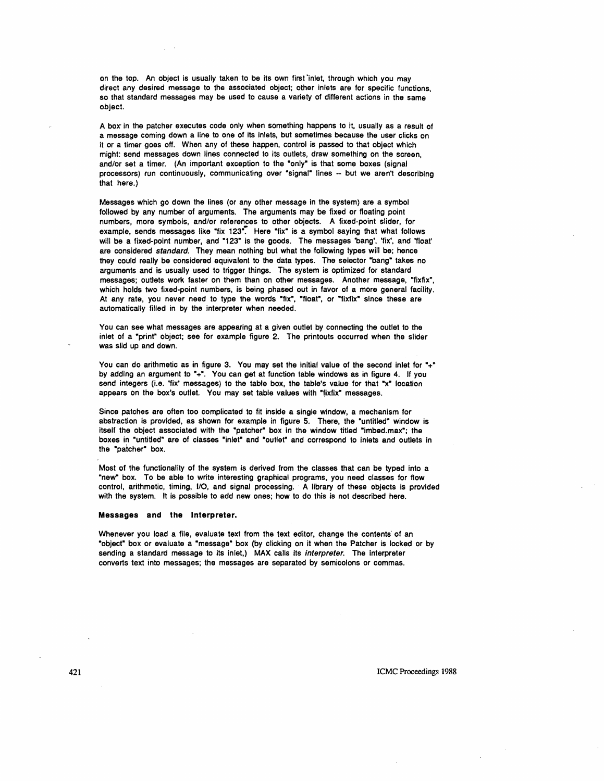on the top. An object is usually taken to be its own first 'inlet, through which you may direct any desired message to the associated object; other inlets are for specific functions, so that standard messages may be used to cause a variety of different actions in the same object.

A box' in the patcher executes code only when something happens to it, usually as a result of a message coming down a line to one of its inlets, but sometimes because the user clicks on it or a timer goes off. When any of these happen. control is passed to that object which might: send messages down lines connected to its outlets, draw something on the screen, and/or set a timer. (An important exception to the "only" is that some boxes (signal processors) run continuously, communicating over "signal" lines -- but we aren't describing that here.)

Messages which go down the lines (or any other message in the system) are a symbol followed by any number of arguments. The arguments may be fixed or floating point numbers, more symbols, and/or references to other objects. A fixed-point slider, for example, sends messages like "fix 123". Here "fix" is a symbol saying that what follows will be a fixed-point number, and "123" is the goods. The messages 'bang', 'fix', and 'float' are considered standard. They mean nothing but what the following types will be; hence they could really be considered equivalent to the data types. The selector "bang" takes no arguments and is usually used to trigger things. The system is optimized for standard messages; outlets work faster on them than on other messages. Another message, "fixfix", which holds two fixed-point numbers, is being phased out in favor of a more general facility. At any rate, you never need to type the words "fix", "float", or "fixfix" since these are automatically filled in by the interpreter when needed.

You can see what messages are appearing at a given outlet by connecting the outlet to the inlet of a "print" object; see for example figure 2. The printouts occurred when the slider was slid up and down.

You can do arithmetic as in figure 3. You may set the initial value of the second inlet for "+" by adding an argument to "+". You can get at function table windows as in figure 4. If you send integers (i.e. 'fix' messages) to the table box, the table's value for that "x" location appears on the box's outlet. You may set table values with "fixfix" messages.

Since patches are often too complicated to fit inside a single window, a mechanism for abstraction is provided, as shown for example in figure 5. There, the "untitled" window is itself the object associated with the "patcher" box in the window titled "imbed.max"; the boxes in "untitled" are of classes "inlet" and "outlet" and correspond to inlets and outlets in the "patcher" box.

Most of the functionality of the system is derived from the classes that can be typed into a "new" box. To be able to write interesting graphical programs, you need classes for flow control, arithmetic, timing, 110, and signal processing. A library of these objects is provided with the system. It is possible to add new ones; how to do this is not described here.

## Messages and the Interpreter.

Whenever you load a file, evaluate text from the text editor, change the contents' of an "object" box or evaluate a "message" box (by clicking on it when the Patcher is locked or by sending a standard message to its inlet,) MAX calls its interpreter. The interpreter converts text into messages; the messages are separated by semicolons or commas.

ICMC Proceedings 1988

421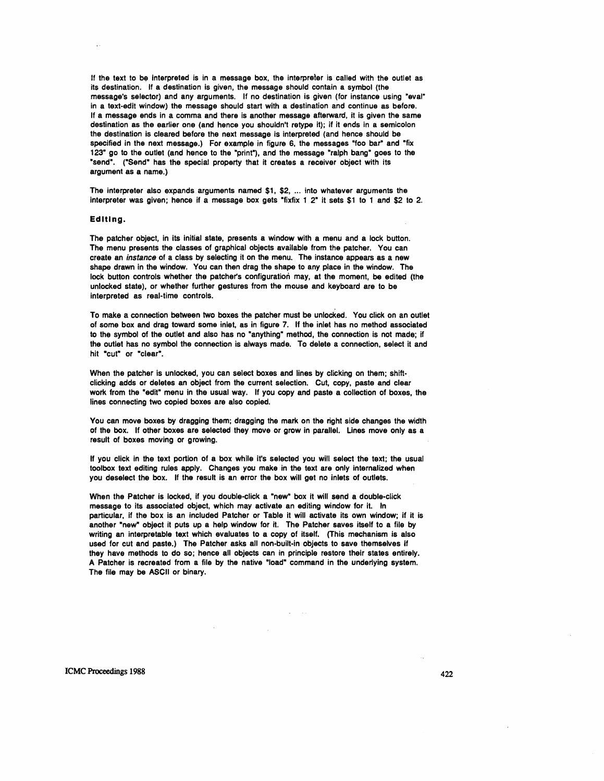If the text to be interpreted is in a message box, the interpreter is called with the outlet as its destination. If a destination is given. the message should contain a symbol (the message's selector) and any arguments. If no destination is given (for instance using "eval" in a text-edit window) the message should start with a destination and continue as before. If a message ends in a comma and there is another message afterward. it is given the same destination as the earlier one (and hence you shouldn't retype it); if it ends in a semicolon the destination is cleared before the next message is interpreted (and hence should be specified in the next message.) For example in figure 6, the messages "foo bar" and "fix 123" go to the outlet (and hence to the "print"), and the message "ralph bang" goes to the "send". ("Send" has the special property that it creates a receiver object with its argument as a name.)

The interpreter also expands arguments named  $$1, $2, \dots$  into whatever arguments the interpreter was given; hence if a message box gets "fixfix 1 2" it sets \$1 to 1 and \$2 to 2.

# Editing\_

The patcher object, in its initial state, presents a window with a menu and a lock button. The menu presents the classes of graphical objects available from the patcher. You can create an instance of a class by selecting it on the menu. The instance appears as a new shape drawn in the window. You can then drag the shape to any place in the window. The lock button controls whether the patcher's configuration may, at the moment, be edited (the unlocked state), or whether further gestures from the mouse and keyboard are to be interpreted as real-time controls.

To make a connection between two boxes the patcher must be unlocked. You click on an outlet of some box and drag toward some inlet, as in figure 7. If the inlet has no method associated to the symbol of the outlet and also has no "anything" method, the connection is not made; if the outlet has no symbol the connection is always made. To delete a connection, select it and hit "cut" or "clear".

When the patcher is unlocked, you can select boxes and lines by clicking on them; shiftclicking adds or deletes an object from the current selection. Cut, copy, paste and clear work from the "edit" menu in the usual way. If you copy and paste a collection of boxes, the lines connecting two copied boxes are also copied.

You can move boxes by dragging them; dragging the mark on the right side changes the width of the box. If other boxes are selected they move or grow in parallel. lines move only as a result of boxes moving or growing.

If you click in the text portion of a box while it's selected you will select the text; the usual toolbox text editing rules apply. Changes you make in the text are only internalized when you deselect the box. If the result is an error the box will get no inlets of outlets.

When the Patcher is locked, if you double-click a "new" box it will send a double-click message to its associated object, which may activate an editing window for it. In particular, if the box is an included Patcher or Table it will activate its own window; if it is another "new" object it puts up a help window for it. The Patcher saves itself to a file by writing an interpretable text which evaluates to a copy of itself. (This mechanism is also used for cut and paste.) The Patcher asks all non-built-in objects to save themselves if they have methods to do so; hence all objects can in principle restore their states entirely. A Patcher is recreated from a file by the native "load" command in the underlying system. The file may be ASCII or binary.

ICMC Proceedings 1988 422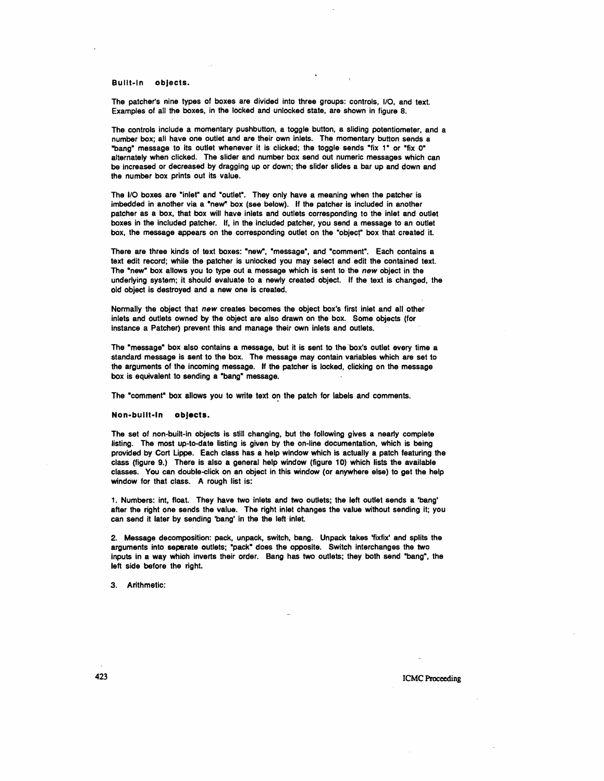Built-In objects.

The patcher's nine types of boxes are divided into three groups: controls, 110, and text. Examples of all the boxes, in the locked and unlocked state, are shown in figure 8.

The controls include a momentary pushbutton, a toggle button, a sliding potentiometer, and a number box; all have one outlet and are their own inlets. The momentary button sends a "bang" message to its outlet whenever it is clicked; the toggle sends "fix 1" or "fix 0" alternately when clicked. The slider and number box send out numeric messages which can be increased or decreased by dragging up or down; the slider slides a bar up and down and the number box prints out its value.

The I/O boxes are "inlet" and "outlet". They only have a meaning when the patcher is imbedded in another via a "new" box (see below). If the patcher is included in another patcher as a box, that box will have inlets and outlets corresponding to the inlet and outlet boxes in the included patcher. If, in the included patcher, you send a message to an outlet box, the message appears on the corresponding outlet on the "object" box that created it.

There are three kinds of text boxes: "new", "message", and "comment". Each contains a text edit record; while the patcher is unlocked you may select and edit the contained text. The "new" box allows you to type out a message which is sent to the *new* object in the underlying system; it should evaluate to a newly created object. If the text is changed, the old object is destroyed and a new one is created.

Normally the object that *new* creates becomes the object box's first inlet and all other inlets and outlets owned by the object are also drawn on the box. Some objects (for instance a Patcher) prevent this and manage their own inlets and outlets.

The "message" box also contains a message, but it is sent to the box's outlet every time a standard message is sent to the box. The message may contain variables which are set to the arguments of the incoming message. If the patcher is locked, clicking on the message box is equivalent to sending a "bang" message.

The "comment" box allows you to write text on the patch for labels and comments.

Non-built-In objects.

The set of non-built-in objects is stili changing, but the following gives a nearly complete listing. The most up-to-date listing is given by the on-line documentation, which is being provided by Cart Lippe. Each class has a help window which is actually a patch featuring the class (figure 9.) There is also a general help window (figure 10) which lists the available classes. You can double-click on an object in this window (or anywhere else) to get the help window for that class. A rough list is:

1. Numbers: int, float. They have two inlets and two outlets; the left outlet sends a 'bang' after the right one sends the value. The right inlet changes the value without sending it; you can send it later by sending 'bang' in the the left inlet.

2. Message decomposition: pack, unpack, switch. bang. Unpack takes 'fixfix' and splits the arguments into separate outlets; "pack" does the opposite. Switch interchanges the two inputs in a way which inverts their order. Bang has two outlets; they both send "bang", the left side before the right.

3. Arithmetic:

**423** ICMC Proceeding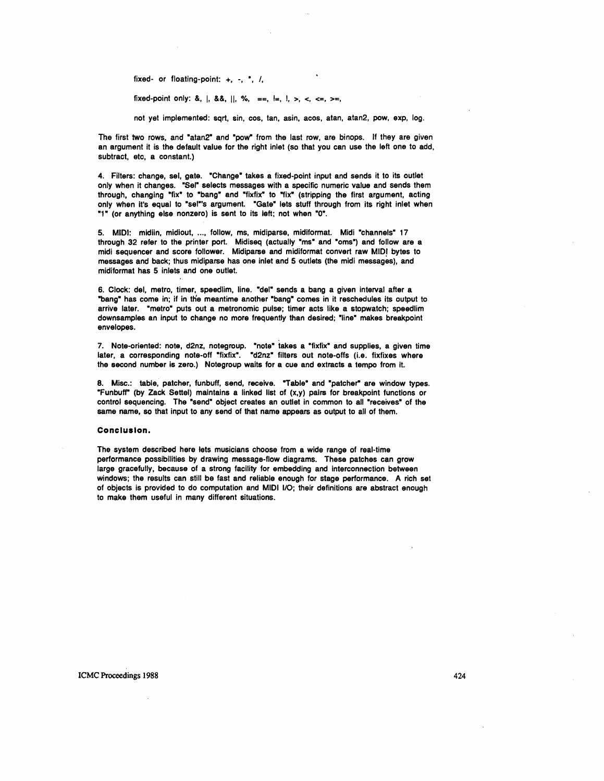fixed- or floating-point:  $+$ ,  $-$ ,  $\overline{\phantom{a}}$ ,  $\overline{\phantom{a}}$ ,

fixed-point only: &, |, &&, ||, %, ==, !=, !, >, <, <=, >=,

not yet implemented: sqrt, sin, cos, tan, asin, acos, atan, atan2, pow, exp, log.

The first two rows, and "atan2" and "pow" from the last row, are binops. If they are given an argument it is the default value for the right inlet (so that you can use the left one to add, subtract, etc, a constant.)

4. Filters: change, sel, gate. "Change" takes a fixed-point input and sends it to its outlet only when it changes. "Sel" selects messages with a specific numeric value and sends them through, changing "fix" to "bang" and "fixfix" to "fix" (stripping the first argument, acting only when it's equal to "sel"'s argument. "Gate" lets stuff through from its right inlet when "1" (or anything else nonzero) is sent to its left; not when "0".

5. MIDI: midiin, midiout, ..., follow, ms, midiparse, midiformat. Midi "channels" 17 through 32 refer to the printer port. Midiseq (actually "ms" and "oms") and follow are a midi sequencer and score follower. Midiparse and midiformat convert raw MIDI bytes to messages and back; thus midiparse has one inlet and 5 outlets (the midi messages), and midiformat has 5 inlets and one outlet.

6. Clock: del, metro, timer, speedlim, line. "del" sends a bang a given interval after a "bang" has come in; if in the meantime another "bang" comes in it reschedules its output to arrive later. "metro" puts out a metronomic pulse; timer acts like a stopwatch; speedlim downsamples an input to change no more frequently than desired; "line" makes breakpoint envelopes.

7. Note-oriented: note, d2nz, notegroup. "note" takes a "fixfix" and supplies, a given time later, a corresponding note-off "fixfix". "d2nz" filters out note-offs (i.e. fixfixes where the second number is zero.) Notegroup waits for a cue and extracts a tempo from it.

8. Misc.: table, patcher, funbuff, send, receive. "Table" and "patcher" are window types. "Funbuff" (by Zack Settel) maintains a linked list of  $(x,y)$  pairs for breakpoint functions or control sequencing. The "send" object creates an outlet in common to all "receives" of the same name, so that input to any send of that name appears as output to all of them.

### **Conclusion.**

The system described here lets musicians choose from a wide range of real-time performance possibilities by drawing message-flow diagrams. These patches can grow large gracefully. because of a strong facility for embedding and interconnection between windows; the results can still be fast and reliable enough for stage performance. A rich set of objects is provided to do computation and MIDI 110; their definitions are abstract enough to make them useful in many different situations.

ICMC Proceedings 1988 424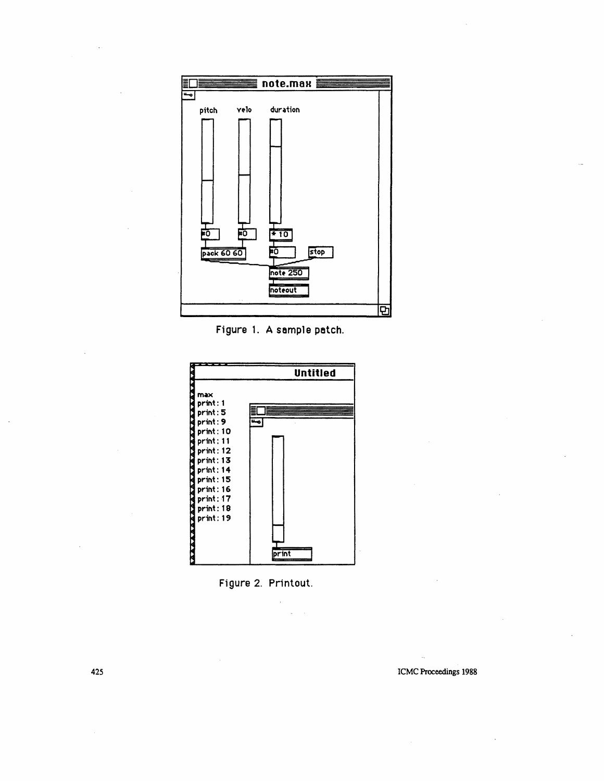

Figure 1. A sample patch.





 $\bar{\mathcal{L}}$ 

And the state of the state of the state of the state of the state of the state of the state of the state of the state of the state of the state of the state of the state of the state of the state of the state of the state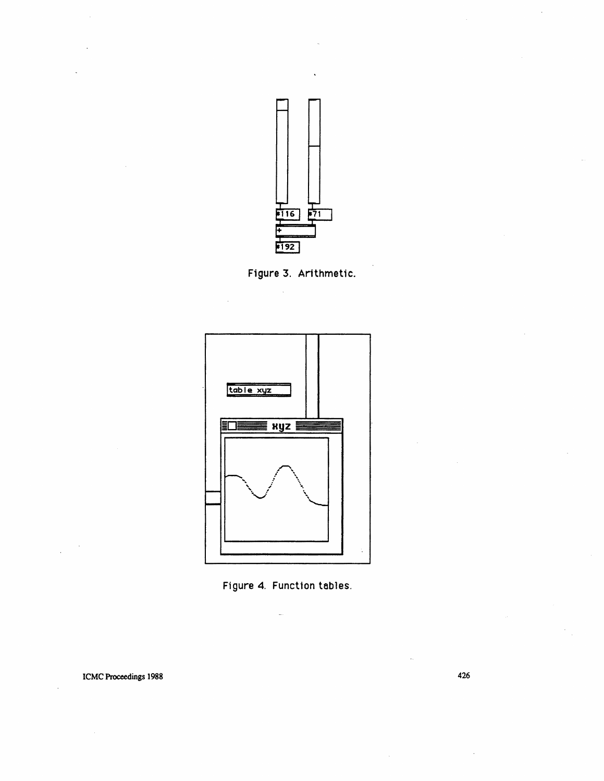

Figure 3. Arithmetic.





ICMC Proceedings 1988

426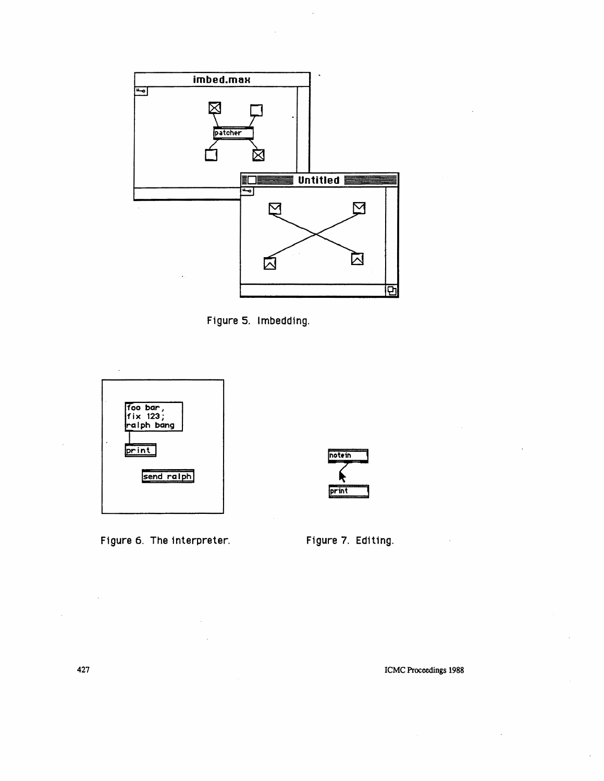





Figure 6. The interpreter.



Figure 7. Editing.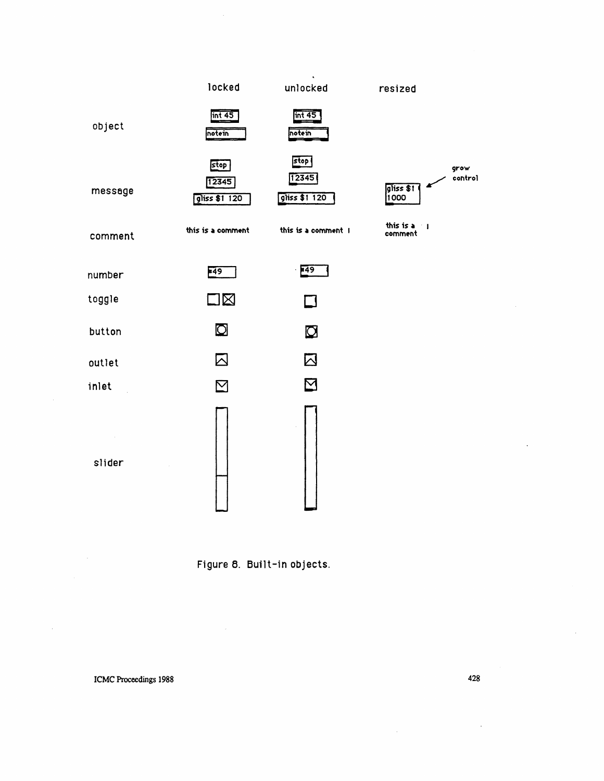